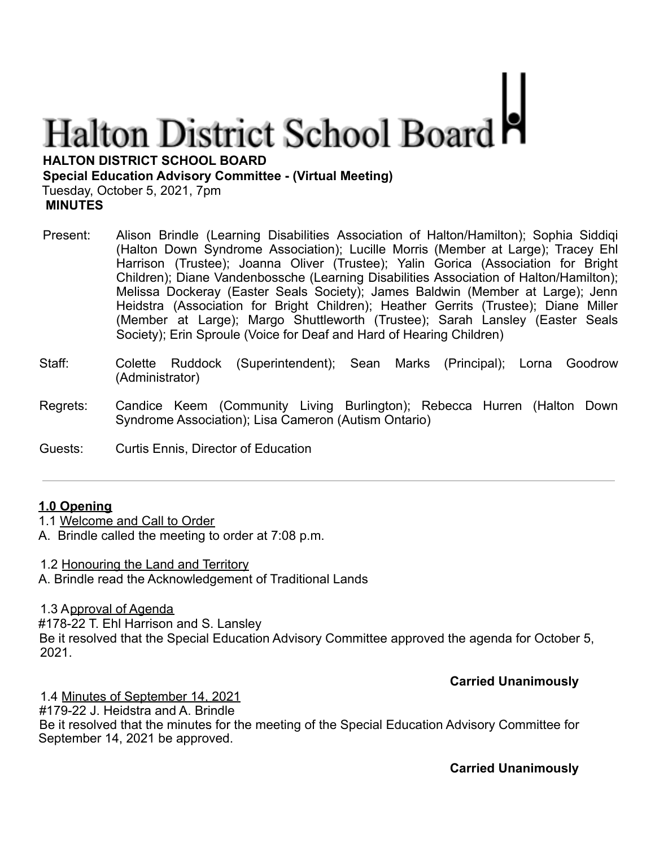# **Halton District School Board**

**HALTON DISTRICT SCHOOL BOARD**

**Special Education Advisory Committee - (Virtual Meeting)**

Tuesday, October 5, 2021, 7pm **MINUTES**

- Present: Alison Brindle (Learning Disabilities Association of Halton/Hamilton); Sophia Siddiqi (Halton Down Syndrome Association); Lucille Morris (Member at Large); Tracey Ehl Harrison (Trustee); Joanna Oliver (Trustee); Yalin Gorica (Association for Bright Children); Diane Vandenbossche (Learning Disabilities Association of Halton/Hamilton); Melissa Dockeray (Easter Seals Society); James Baldwin (Member at Large); Jenn Heidstra (Association for Bright Children); Heather Gerrits (Trustee); Diane Miller (Member at Large); Margo Shuttleworth (Trustee); Sarah Lansley (Easter Seals Society); Erin Sproule (Voice for Deaf and Hard of Hearing Children)
- Staff: Colette Ruddock (Superintendent); Sean Marks (Principal); Lorna Goodrow (Administrator)
- Regrets: Candice Keem (Community Living Burlington); Rebecca Hurren (Halton Down Syndrome Association); Lisa Cameron (Autism Ontario)
- Guests: Curtis Ennis, Director of Education

# **1.0 Opening**

- 1.1 Welcome and Call to Order
- A. Brindle called the meeting to order at 7:08 p.m.

1.2 Honouring the Land and Territory

A. Brindle read the Acknowledgement of Traditional Lands

1.3 Approval of Agenda

#178-22 T. Ehl Harrison and S. Lansley Be it resolved that the Special Education Advisory Committee approved the agenda for October 5, 2021.

# **Carried Unanimously**

1.4 Minutes of September 14, 2021 #179-22 J. Heidstra and A. Brindle Be it resolved that the minutes for the meeting of the Special Education Advisory Committee for September 14, 2021 be approved.

**Carried Unanimously**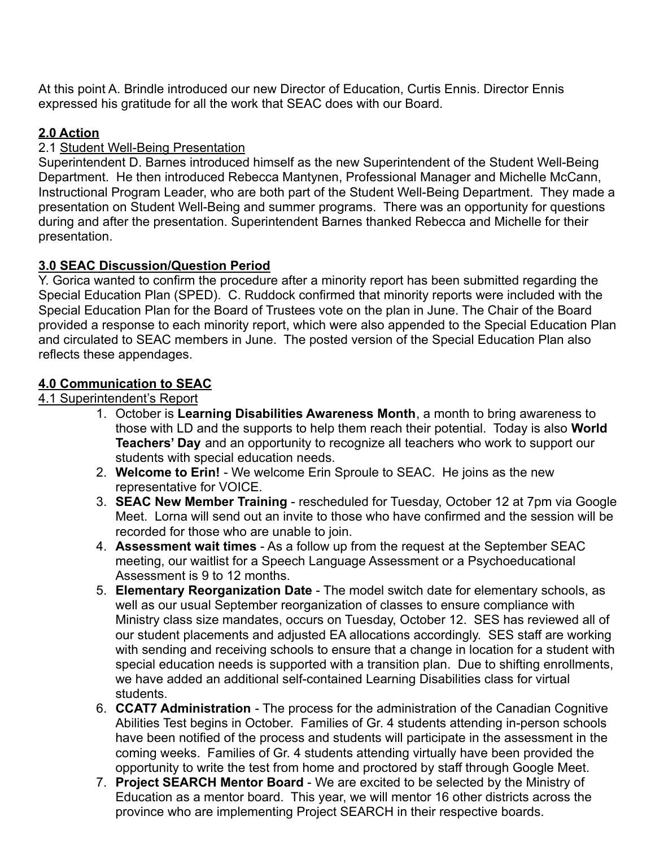At this point A. Brindle introduced our new Director of Education, Curtis Ennis. Director Ennis expressed his gratitude for all the work that SEAC does with our Board.

# **2.0 Action**

# 2.1 Student Well-Being Presentation

Superintendent D. Barnes introduced himself as the new Superintendent of the Student Well-Being Department. He then introduced Rebecca Mantynen, Professional Manager and Michelle McCann, Instructional Program Leader, who are both part of the Student Well-Being Department. They made a presentation on Student Well-Being and summer programs. There was an opportunity for questions during and after the presentation. Superintendent Barnes thanked Rebecca and Michelle for their presentation.

# **3.0 SEAC Discussion/Question Period**

Y. Gorica wanted to confirm the procedure after a minority report has been submitted regarding the Special Education Plan (SPED). C. Ruddock confirmed that minority reports were included with the Special Education Plan for the Board of Trustees vote on the plan in June. The Chair of the Board provided a response to each minority report, which were also appended to the Special Education Plan and circulated to SEAC members in June. The posted version of the Special Education Plan also reflects these appendages.

# **4.0 Communication to SEAC**

# 4.1 Superintendent's Report

- 1. October is **Learning Disabilities Awareness Month**, a month to bring awareness to those with LD and the supports to help them reach their potential. Today is also **World Teachers' Day** and an opportunity to recognize all teachers who work to support our students with special education needs.
- 2. **Welcome to Erin!** We welcome Erin Sproule to SEAC. He joins as the new representative for VOICE.
- 3. **SEAC New Member Training** rescheduled for Tuesday, October 12 at 7pm via Google Meet. Lorna will send out an invite to those who have confirmed and the session will be recorded for those who are unable to join.
- 4. **Assessment wait times** As a follow up from the request at the September SEAC meeting, our waitlist for a Speech Language Assessment or a Psychoeducational Assessment is 9 to 12 months.
- 5. **Elementary Reorganization Date** The model switch date for elementary schools, as well as our usual September reorganization of classes to ensure compliance with Ministry class size mandates, occurs on Tuesday, October 12. SES has reviewed all of our student placements and adjusted EA allocations accordingly. SES staff are working with sending and receiving schools to ensure that a change in location for a student with special education needs is supported with a transition plan. Due to shifting enrollments, we have added an additional self-contained Learning Disabilities class for virtual students.
- 6. **CCAT7 Administration** The process for the administration of the Canadian Cognitive Abilities Test begins in October. Families of Gr. 4 students attending in-person schools have been notified of the process and students will participate in the assessment in the coming weeks. Families of Gr. 4 students attending virtually have been provided the opportunity to write the test from home and proctored by staff through Google Meet.
- 7. **Project SEARCH Mentor Board** We are excited to be selected by the Ministry of Education as a mentor board. This year, we will mentor 16 other districts across the province who are implementing Project SEARCH in their respective boards.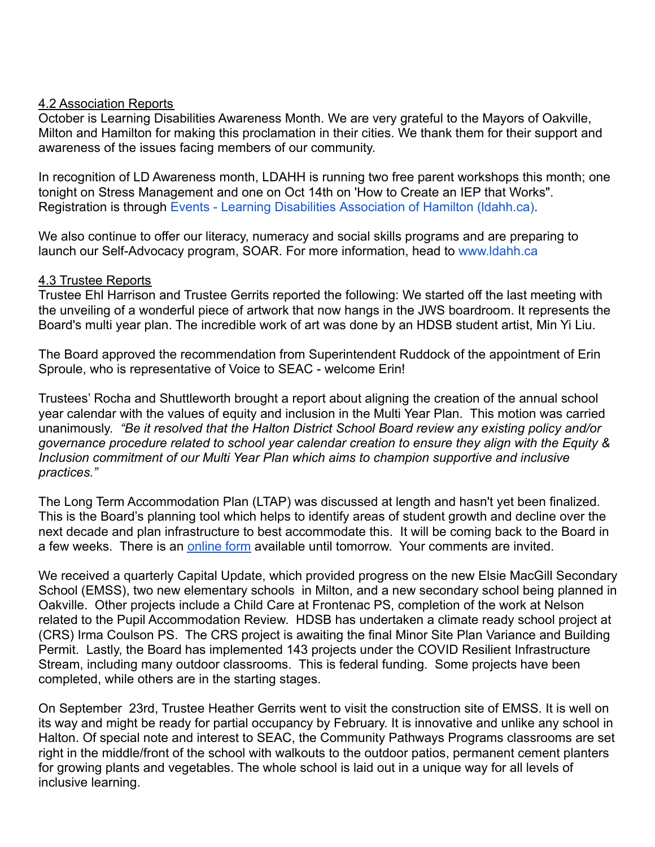#### 4.2 Association Reports

October is Learning Disabilities Awareness Month. We are very grateful to the Mayors of Oakville, Milton and Hamilton for making this proclamation in their cities. We thank them for their support and awareness of the issues facing members of our community.

In recognition of LD Awareness month, LDAHH is running two free parent workshops this month; one tonight on Stress Management and one on Oct 14th on 'How to Create an IEP that Works". Registration is through Events - Learning Disabilities [Association of Hamilton \(ldahh.ca\).](https://www.ldahh.ca/get-involved/events/)

We also continue to offer our literacy, numeracy and social skills programs and are preparing to launch our Self-Advocacy program, SOAR. For more information, head to [www.ldahh.ca](http://www.ldahh.ca/)

#### 4.3 Trustee Reports

Trustee Ehl Harrison and Trustee Gerrits reported the following: We started off the last meeting with the unveiling of a wonderful piece of artwork that now hangs in the JWS boardroom. It represents the Board's multi year plan. The incredible work of art was done by an HDSB student artist, Min Yi Liu.

The Board approved the recommendation from Superintendent Ruddock of the appointment of Erin Sproule, who is representative of Voice to SEAC - welcome Erin!

Trustees' Rocha and Shuttleworth brought a report about aligning the creation of the annual school year calendar with the values of equity and inclusion in the Multi Year Plan. This motion was carried unanimously. *"Be it resolved that the Halton District School Board review any existing policy and/or governance procedure related to school year calendar creation to ensure they align with the Equity & Inclusion commitment of our Multi Year Plan which aims to champion supportive and inclusive practices."*

The Long Term Accommodation Plan (LTAP) was discussed at length and hasn't yet been finalized. This is the Board's planning tool which helps to identify areas of student growth and decline over the next decade and plan infrastructure to best accommodate this. It will be coming back to the Board in a few weeks. There is an [online form](https://docs.google.com/forms/d/e/1FAIpQLSeXKQp0lmvuvH269fCvO5NqbUc6IghKOAt_wSZmd7LVNXTptg/viewform) available until tomorrow. Your comments are invited.

We received a quarterly Capital Update, which provided progress on the new Elsie MacGill Secondary School (EMSS), two new elementary schools in Milton, and a new secondary school being planned in Oakville. Other projects include a Child Care at Frontenac PS, completion of the work at Nelson related to the Pupil Accommodation Review. HDSB has undertaken a climate ready school project at (CRS) Irma Coulson PS. The CRS project is awaiting the final Minor Site Plan Variance and Building Permit. Lastly, the Board has implemented 143 projects under the COVID Resilient Infrastructure Stream, including many outdoor classrooms. This is federal funding. Some projects have been completed, while others are in the starting stages.

On September 23rd, Trustee Heather Gerrits went to visit the construction site of EMSS. It is well on its way and might be ready for partial occupancy by February. It is innovative and unlike any school in Halton. Of special note and interest to SEAC, the Community Pathways Programs classrooms are set right in the middle/front of the school with walkouts to the outdoor patios, permanent cement planters for growing plants and vegetables. The whole school is laid out in a unique way for all levels of inclusive learning.